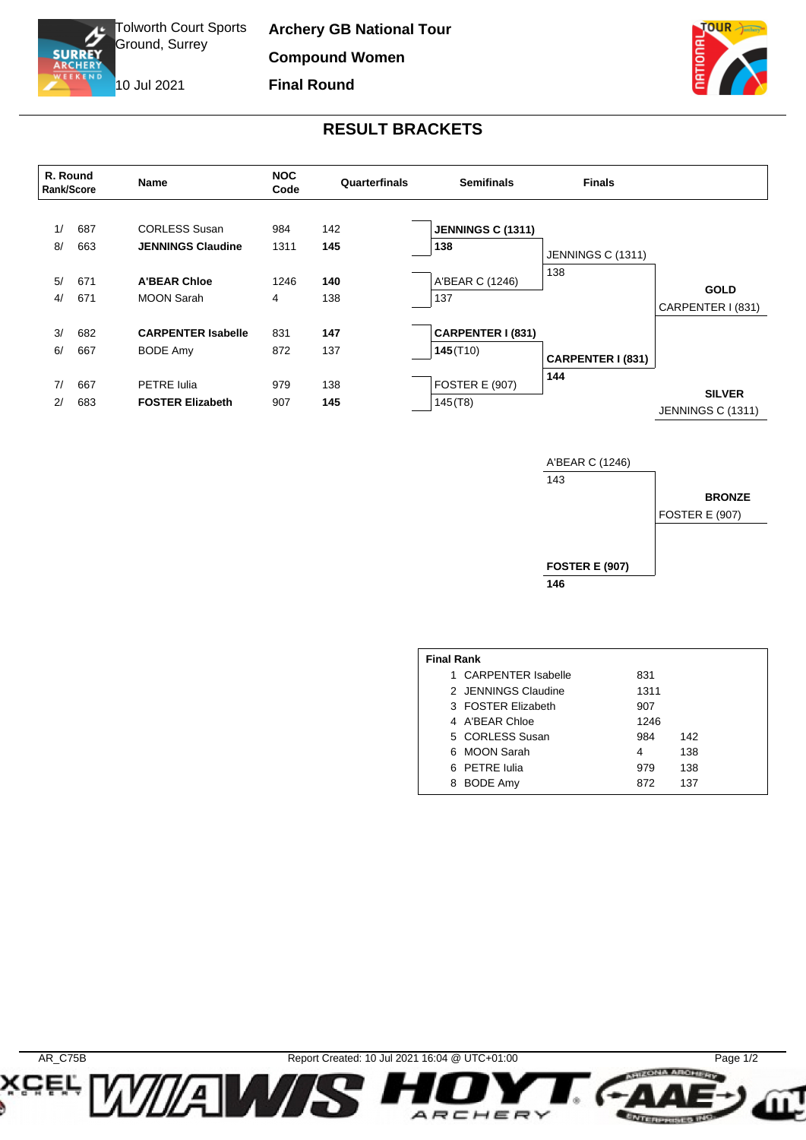Tolworth Court Sports Ground, Surrey

**Archery GB National Tour Compound Women Final Round**

**SURREY** 10 Jul 2021

ъ



## **RESULT BRACKETS**





| <b>Final Rank</b> |                      |      |     |  |  |  |  |  |
|-------------------|----------------------|------|-----|--|--|--|--|--|
|                   | 1 CARPENTER Isabelle | 831  |     |  |  |  |  |  |
|                   | 2 JENNINGS Claudine  | 1311 |     |  |  |  |  |  |
|                   | 3 FOSTER Elizabeth   | 907  |     |  |  |  |  |  |
|                   | 4 A'BEAR Chloe       | 1246 |     |  |  |  |  |  |
|                   | 5 CORLESS Susan      | 984  | 142 |  |  |  |  |  |
|                   | 6 MOON Sarah         | 4    | 138 |  |  |  |  |  |
|                   | 6 PETRE Julia        | 979  | 138 |  |  |  |  |  |
| 8                 | <b>BODE Amy</b>      | 872  | 137 |  |  |  |  |  |